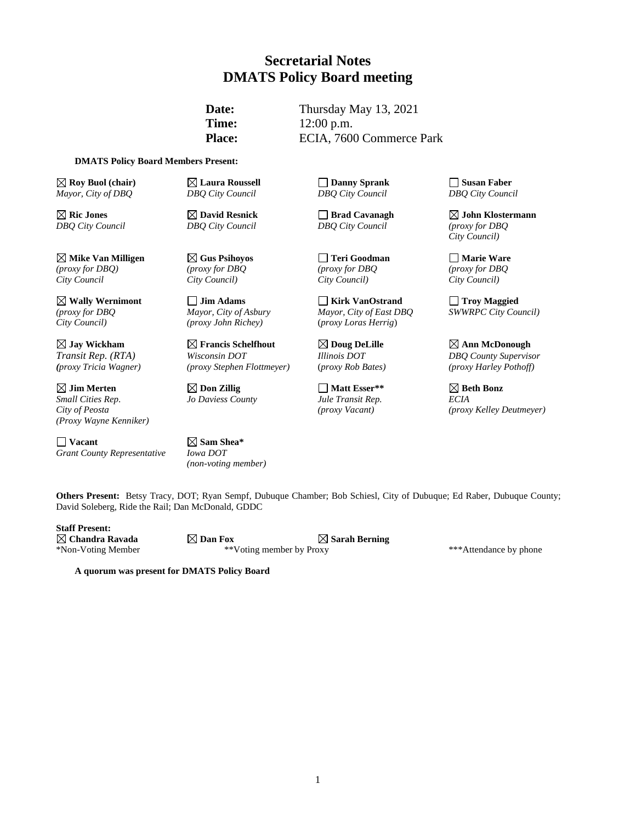### **Secretarial Notes DMATS Policy Board meeting**

**Date:** Thursday May 13, 2021 **Time:** 12:00 p.m. Place: ECIA, 7600 Commerce Park

#### **DMATS Policy Board Members Present:**

**Example 18 Susan Faber C Roy Buol (chair) Example 2 Susan Faber L C C Danny Sprank DBQ** City **Council DBQ** City **Council DBQ** City **Council DBQ** City **Council DBQ** City **Council DBQ** City **Cou** *Mayor, City of DBQ DBQ City Council DBQ City Council DBQ City Council*

**Mike Van Milligen Gus Psihoyos Teri Goodman Marie Ware** *(proxy for DBQ) (proxy for DBQ (proxy for DBQ (proxy for DBQ City Council City Council) City Council) City Council)*

**Jim Merten Don Zillig Matt Esser\*\* Beth Bonz** *(Proxy Wayne Kenniker)*

**Vacant Sam Shea\***  *Grant County Representative Iowa DOT*

*City Council) (proxy John Richey)* (*proxy Loras Herrig*)

*Transit Rep. (RTA) Wisconsin DOT Illinois DOT DBQ County Supervisor*

*Small Cities Rep*. *Jo Daviess County Jule Transit Rep. ECIA*

*(non-voting member)*

*DBQ City Council DBQ City Council DBQ City Council (proxy for DBQ*

**Wally Wernimont Jim Adams Kirk VanOstrand Troy Maggied** *(proxy for DBQ Mayor, City of Asbury Mayor, City of East DBQ SWWRPC City Council)* 

**Ric Jones David Resnick Brad Cavanagh John Klostermann** *City Council)*

**Jay Wickham Francis Schelfhout Doug DeLille Ann McDonough** *(proxy Tricia Wagner) (proxy Stephen Flottmeyer)* (*proxy Rob Bates) (proxy Harley Pothoff)*

*City of Peosta (proxy Vacant) (proxy Kelley Deutmeyer)*

**Others Present:** Betsy Tracy, DOT; Ryan Sempf, Dubuque Chamber; Bob Schiesl, City of Dubuque; Ed Raber, Dubuque County; David Soleberg, Ride the Rail; Dan McDonald, GDDC

**Staff Present:**

**Chandra Ravada Dan Fox Sarah Berning** \*Non-Voting Member \*\*Voting member by Proxy \*\*\*Attendance by phone

**A quorum was present for DMATS Policy Board**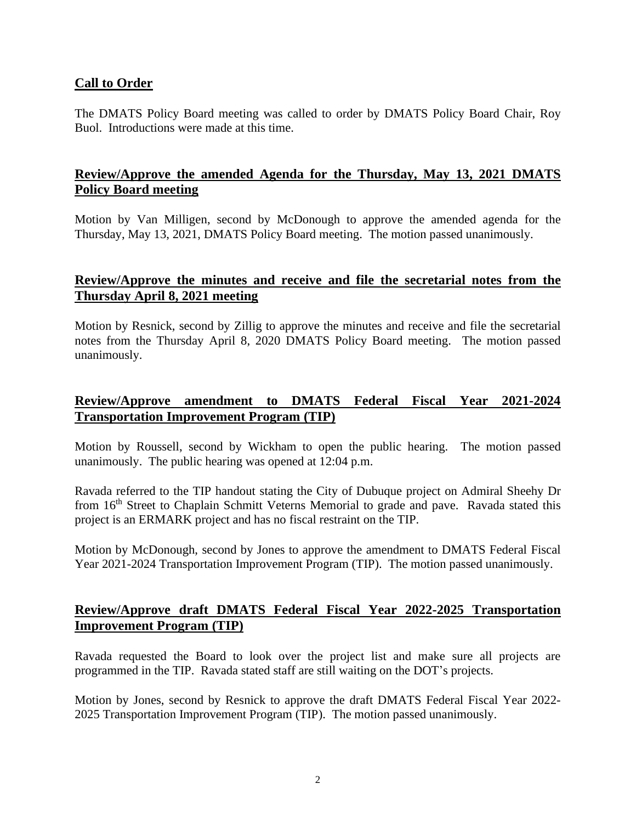#### **Call to Order**

The DMATS Policy Board meeting was called to order by DMATS Policy Board Chair, Roy Buol. Introductions were made at this time.

#### **Review/Approve the amended Agenda for the Thursday, May 13, 2021 DMATS Policy Board meeting**

Motion by Van Milligen, second by McDonough to approve the amended agenda for the Thursday, May 13, 2021, DMATS Policy Board meeting. The motion passed unanimously.

#### **Review/Approve the minutes and receive and file the secretarial notes from the Thursday April 8, 2021 meeting**

Motion by Resnick, second by Zillig to approve the minutes and receive and file the secretarial notes from the Thursday April 8, 2020 DMATS Policy Board meeting. The motion passed unanimously.

# **Review/Approve amendment to DMATS Federal Fiscal Year 2021-2024 Transportation Improvement Program (TIP)**

Motion by Roussell, second by Wickham to open the public hearing. The motion passed unanimously. The public hearing was opened at 12:04 p.m.

Ravada referred to the TIP handout stating the City of Dubuque project on Admiral Sheehy Dr from 16<sup>th</sup> Street to Chaplain Schmitt Veterns Memorial to grade and pave. Ravada stated this project is an ERMARK project and has no fiscal restraint on the TIP.

Motion by McDonough, second by Jones to approve the amendment to DMATS Federal Fiscal Year 2021-2024 Transportation Improvement Program (TIP). The motion passed unanimously.

## **Review/Approve draft DMATS Federal Fiscal Year 2022-2025 Transportation Improvement Program (TIP)**

Ravada requested the Board to look over the project list and make sure all projects are programmed in the TIP. Ravada stated staff are still waiting on the DOT's projects.

Motion by Jones, second by Resnick to approve the draft DMATS Federal Fiscal Year 2022- 2025 Transportation Improvement Program (TIP). The motion passed unanimously.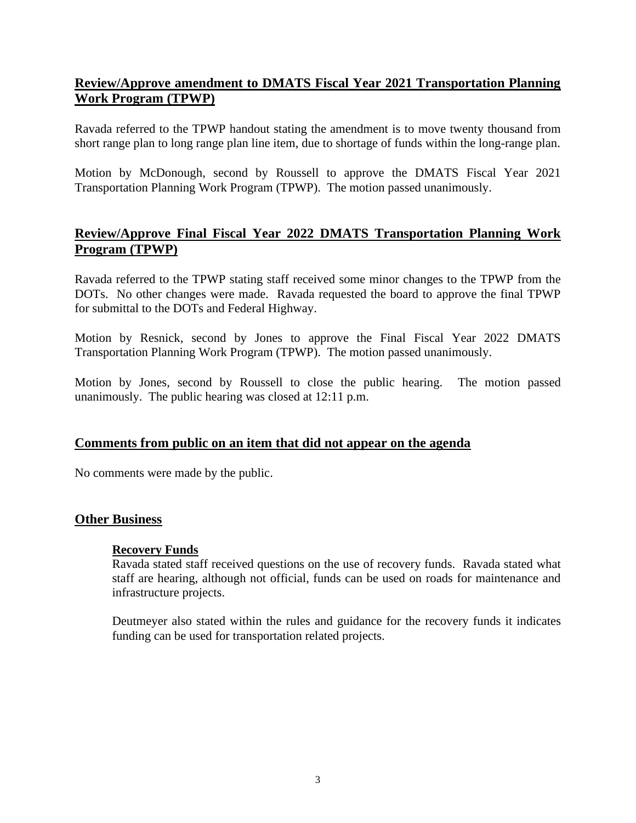## **Review/Approve amendment to DMATS Fiscal Year 2021 Transportation Planning Work Program (TPWP)**

Ravada referred to the TPWP handout stating the amendment is to move twenty thousand from short range plan to long range plan line item, due to shortage of funds within the long-range plan.

Motion by McDonough, second by Roussell to approve the DMATS Fiscal Year 2021 Transportation Planning Work Program (TPWP). The motion passed unanimously.

# **Review/Approve Final Fiscal Year 2022 DMATS Transportation Planning Work Program (TPWP)**

Ravada referred to the TPWP stating staff received some minor changes to the TPWP from the DOTs. No other changes were made. Ravada requested the board to approve the final TPWP for submittal to the DOTs and Federal Highway.

Motion by Resnick, second by Jones to approve the Final Fiscal Year 2022 DMATS Transportation Planning Work Program (TPWP). The motion passed unanimously.

Motion by Jones, second by Roussell to close the public hearing. The motion passed unanimously. The public hearing was closed at 12:11 p.m.

#### **Comments from public on an item that did not appear on the agenda**

No comments were made by the public.

#### **Other Business**

#### **Recovery Funds**

Ravada stated staff received questions on the use of recovery funds. Ravada stated what staff are hearing, although not official, funds can be used on roads for maintenance and infrastructure projects.

Deutmeyer also stated within the rules and guidance for the recovery funds it indicates funding can be used for transportation related projects.